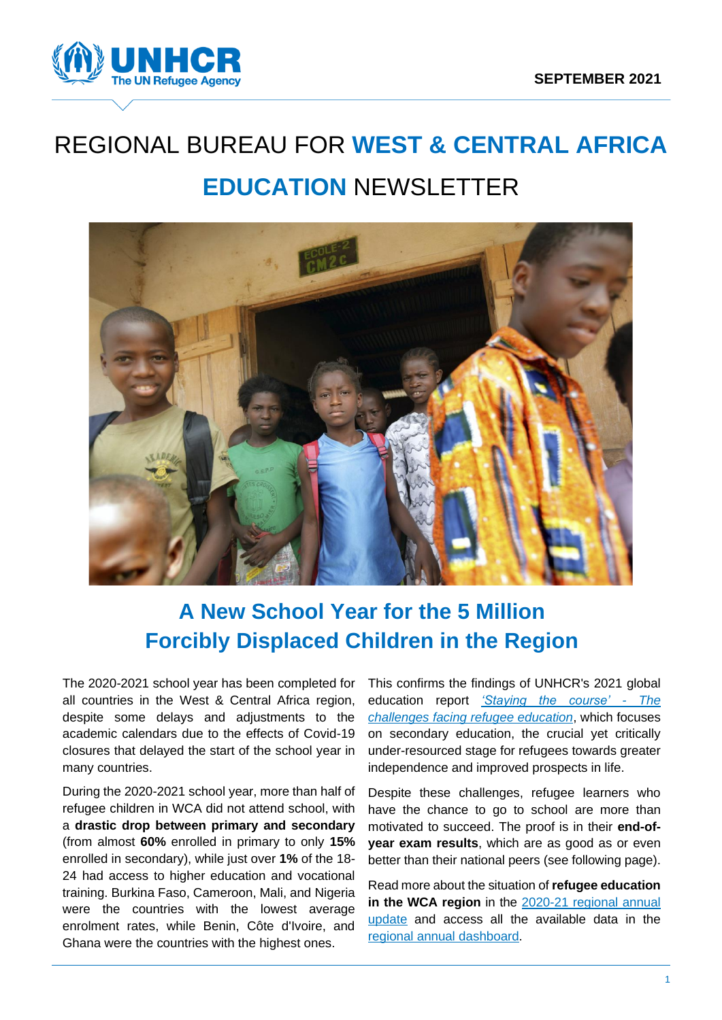

# REGIONAL BUREAU FOR **WEST & CENTRAL AFRICA EDUCATION** NEWSLETTER



# **A New School Year for the 5 Million Forcibly Displaced Children in the Region**

The 2020-2021 school year has been completed for all countries in the West & Central Africa region, despite some delays and adjustments to the academic calendars due to the effects of Covid-19 closures that delayed the start of the school year in many countries.

During the 2020-2021 school year, more than half of refugee children in WCA did not attend school, with a **drastic drop between primary and secondary** (from almost **60%** enrolled in primary to only **15%** enrolled in secondary), while just over **1%** of the 18- 24 had access to higher education and vocational training. Burkina Faso, Cameroon, Mali, and Nigeria were the countries with the lowest average enrolment rates, while Benin, Côte d'Ivoire, and Ghana were the countries with the highest ones.

This confirms the findings of UNHCR's 2021 global education report *['Staying the course' -](https://www.unhcr.org/publications/education/612f85d64/unhcr-education-report-2021-staying-course-challenges-facing-refugee-education.html) The [challenges facing refugee education](https://www.unhcr.org/publications/education/612f85d64/unhcr-education-report-2021-staying-course-challenges-facing-refugee-education.html)*, which focuses on secondary education, the crucial yet critically under-resourced stage for refugees towards greater independence and improved prospects in life.

Despite these challenges, refugee learners who have the chance to go to school are more than motivated to succeed. The proof is in their **end-ofyear exam results**, which are as good as or even better than their national peers (see following page).

Read more about the situation of **refugee education in the WCA region** in the [2020-21 regional annual](https://data2.unhcr.org/fr/documents/details/88014)  [update](https://data2.unhcr.org/fr/documents/details/88014) and access all the available data in the [regional annual](https://data2.unhcr.org/en/documents/details/88010) dashboard.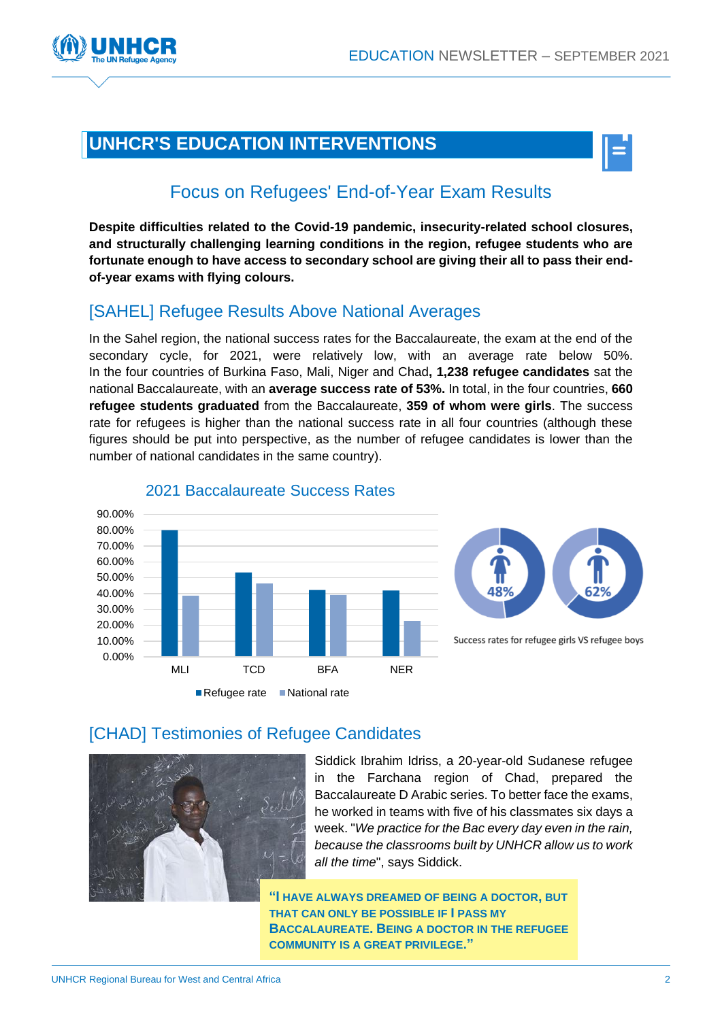

# **UNHCR'S EDUCATION INTERVENTIONS**



# Focus on Refugees' End-of-Year Exam Results

**Despite difficulties related to the Covid-19 pandemic, insecurity-related school closures, and structurally challenging learning conditions in the region, refugee students who are fortunate enough to have access to secondary school are giving their all to pass their endof-year exams with flying colours.**

## [SAHEL] Refugee Results Above National Averages

In the Sahel region, the national success rates for the Baccalaureate, the exam at the end of the secondary cycle, for 2021, were relatively low, with an average rate below 50%. In the four countries of Burkina Faso, Mali, Niger and Chad**, 1,238 refugee candidates** sat the national Baccalaureate, with an **average success rate of 53%.** In total, in the four countries, **660 refugee students graduated** from the Baccalaureate, **359 of whom were girls**. The success rate for refugees is higher than the national success rate in all four countries (although these figures should be put into perspective, as the number of refugee candidates is lower than the number of national candidates in the same country).



#### 2021 Baccalaureate Success Rates

### [CHAD] Testimonies of Refugee Candidates



Siddick Ibrahim Idriss, a 20-year-old Sudanese refugee in the Farchana region of Chad, prepared the Baccalaureate D Arabic series. To better face the exams, he worked in teams with five of his classmates six days a week. "*We practice for the Bac every day even in the rain, because the classrooms built by UNHCR allow us to work all the time*", says Siddick.

**"I HAVE ALWAYS DREAMED OF BEING A DOCTOR, BUT THAT CAN ONLY BE POSSIBLE IF I PASS MY BACCALAUREATE. BEING A DOCTOR IN THE REFUGEE COMMUNITY IS A GREAT PRIVILEGE."**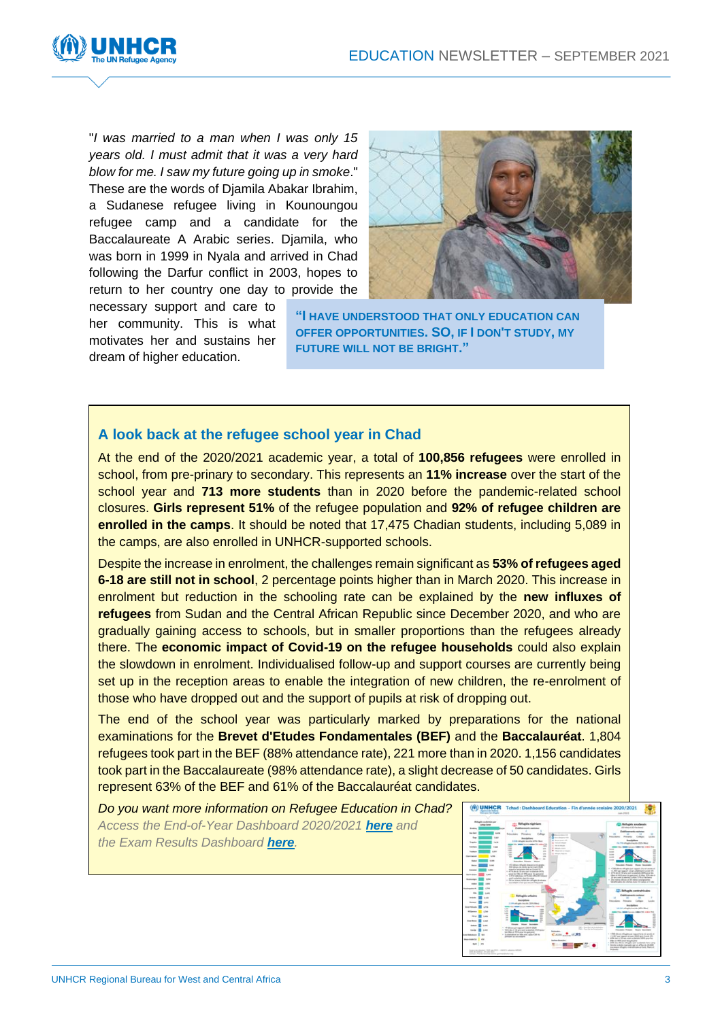

"*I was married to a man when I was only 15 years old. I must admit that it was a very hard blow for me. I saw my future going up in smoke*." These are the words of Djamila Abakar Ibrahim, a Sudanese refugee living in Kounoungou refugee camp and a candidate for the Baccalaureate A Arabic series. Djamila, who was born in 1999 in Nyala and arrived in Chad following the Darfur conflict in 2003, hopes to return to her country one day to provide the

necessary support and care to her community. This is what motivates her and sustains her dream of higher education.



**"I HAVE UNDERSTOOD THAT ONLY EDUCATION CAN OFFER OPPORTUNITIES. SO, IF I DON'T STUDY, MY FUTURE WILL NOT BE BRIGHT."**

#### **[A look back at the refugee school year in Chad](https://data2.unhcr.org/en/documents/details/88307)**

At the end of the 2020/2021 academic year, a total of **100,856 refugees** were enrolled in school, from pre-prinary to secondary. This represents an **11% increase** over the start of the school year and **713 more students** than in 2020 before the pandemic-related school closures. **Girls represent 51%** of the refugee population and **92% of refugee children are enrolled in the camps**. It should be noted that 17,475 Chadian students, including 5,089 in the camps, are also enrolled in UNHCR-supported schools.

Despite the increase in enrolment, the challenges remain significant as **53% of refugees aged 6-18 are still not in school**, 2 percentage points higher than in March 2020. This increase in enrolment but reduction in the schooling rate can be explained by the **new influxes of refugees** from Sudan and the Central African Republic since December 2020, and who are gradually gaining access to schools, but in smaller proportions than the refugees already there. The **economic impact of Covid-19 on the refugee households** could also explain the slowdown in enrolment. Individualised follow-up and support courses are currently being set up in the reception areas to enable the integration of new children, the re-enrolment of those who have dropped out and the support of pupils at risk of dropping out.

The end of the school year was particularly marked by preparations for the national examinations for the **Brevet d'Etudes Fondamentales (BEF)** and the **Baccalauréat**. 1,804 refugees took part in the BEF (88% attendance rate), 221 more than in 2020. 1,156 candidates took part in the Baccalaureate (98% attendance rate), a slight decrease of 50 candidates. Girls represent 63% of the BEF and 61% of the Baccalauréat candidates.

*Do you want more information on Refugee Education in Chad? Access the End-of-Year Dashboard 2020/2021 [here](https://data2.unhcr.org/en/documents/details/88307) and the Exam Results Dashboard [here](https://data2.unhcr.org/en/documents/details/88829).*

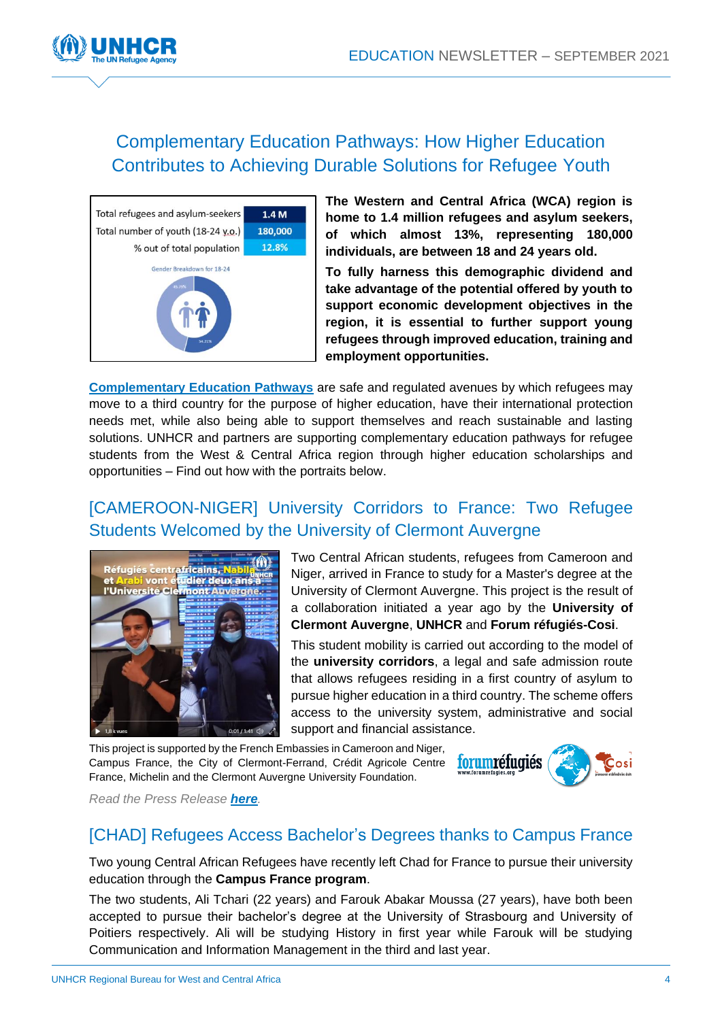

# Complementary Education Pathways: How Higher Education Contributes to Achieving Durable Solutions for Refugee Youth



**The Western and Central Africa (WCA) region is home to 1.4 million refugees and asylum seekers, of which almost 13%, representing 180,000 individuals, are between 18 and 24 years old.**

**To fully harness this demographic dividend and take advantage of the potential offered by youth to support economic development objectives in the region, it is essential to further support young refugees through improved education, training and employment opportunities.**

**[Complementary Education Pathways](https://www.unhcr.org/complementary-pathways-through-education.html)** are safe and regulated avenues by which refugees may move to a third country for the purpose of higher education, have their international protection needs met, while also being able to support themselves and reach sustainable and lasting solutions. UNHCR and partners are supporting complementary education pathways for refugee students from the West & Central Africa region through higher education scholarships and opportunities – Find out how with the portraits below.

# [\[CAMEROON-NIGER\] University Corridors to France: Two Refugee](https://twitter.com/UNHCRfrance/status/1438509282694074370)  [Students Welcomed by the University of Clermont Auvergne](https://twitter.com/UNHCRfrance/status/1438509282694074370)



Two Central African students, refugees from Cameroon and Niger, arrived in France to study for a Master's degree at the University of Clermont Auvergne. This project is the result of a collaboration initiated a year ago by the **University of Clermont Auvergne**, **UNHCR** and **Forum réfugiés-Cosi**.

This student mobility is carried out according to the model of the **university corridors**, a legal and safe admission route that allows refugees residing in a first country of asylum to pursue higher education in a third country. The scheme offers access to the university system, administrative and social support and financial assistance.

This project is supported by the French Embassies in Cameroon and Niger, Campus France, the City of Clermont-Ferrand, Crédit Agricole Centre France, Michelin and the Clermont Auvergne University Foundation.



*Read the Press Release [here](https://www.forumrefugies.org/presse/nos-communiques-de-presse/945-deux-etudiants-refugies-accueillis-par-l-universite-clermont-auvergne-2).*

### [CHAD] Refugees Access Bachelor's Degrees [thanks to Campus France](https://www.unhcr.org/fr-fr/news/press/2021/6/60d1ebdd4/monaco-le-hcr-et-bioforce-sengagent-en-faveur-de-la-formation-professionnelle.html)

Two young Central African Refugees have recently left Chad for France to pursue their university education through the **Campus France program**.

The two students, Ali Tchari (22 years) and Farouk Abakar Moussa (27 years), have both been accepted to pursue their bachelor's degree at the University of Strasbourg and University of Poitiers respectively. Ali will be studying History in first year while Farouk will be studying Communication and Information Management in the third and last year.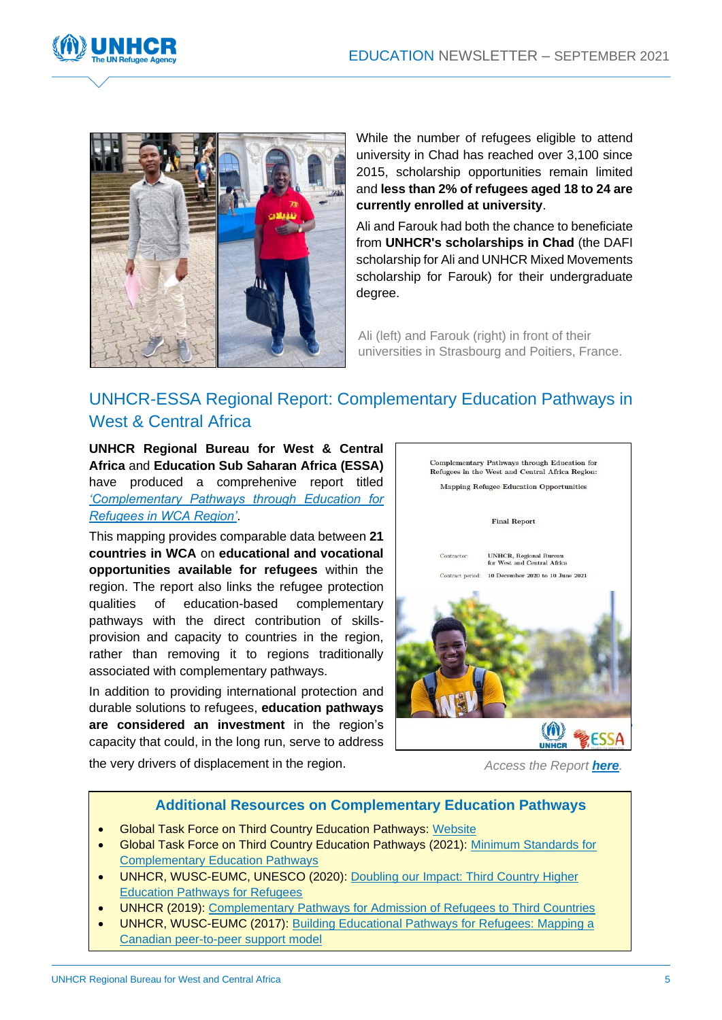



While the number of refugees eligible to attend university in Chad has reached over 3,100 since 2015, scholarship opportunities remain limited and **less than 2% of refugees aged 18 to 24 are currently enrolled at university**.

Ali and Farouk had both the chance to beneficiate from **UNHCR's scholarships in Chad** (the DAFI scholarship for Ali and UNHCR Mixed Movements scholarship for Farouk) for their undergraduate degree.

Ali (left) and Farouk (right) in front of their universities in Strasbourg and Poitiers, France.

# [UNHCR-ESSA Regional Report: Complementary Education Pathways in](https://www.unhcr.org/6124f6644)  [West & Central Africa](https://www.unhcr.org/6124f6644)

**UNHCR Regional Bureau for West & Central Africa** and **[Education Sub Saharan Africa \(ESSA\)](https://essa-africa.org/)** have produced a comprehenive report titled *['Complementary Pathways through Education for](https://www.unhcr.org/6124f6644)  [Refugees in WCA Region'](https://www.unhcr.org/6124f6644)*.

This mapping provides comparable data between **21 countries in WCA** on **educational and vocational opportunities available for refugees** within the region. The report also links the refugee protection qualities of education-based complementary pathways with the direct contribution of skillsprovision and capacity to countries in the region, rather than removing it to regions traditionally associated with complementary pathways.

In addition to providing international protection and durable solutions to refugees, **education pathways are considered an investment** in the region's capacity that could, in the long run, serve to address



the very drivers of displacement in the region.<br>Access the Report **[here](https://www.unhcr.org/6124f6644)**.

#### **Additional Resources on Complementary Education Pathways**

- Global Task Force on Third Country Education Pathways: [Website](https://edpathways.org/?fbclid=IwAR1NDLz_tCBYKscDsZjSUmeEY3XKzFip_jSZFLFWlsojliW31I5I9o75d8c)
- Global Task Force on Third Country Education Pathways (2021): [Minimum Standards for](https://wusc.ca/wp-content/uploads/2021/06/Global-Task-Force-Minimum-Standards-for-Complementary-Education-Pathways.pdf)  [Complementary Education Pathways](https://wusc.ca/wp-content/uploads/2021/06/Global-Task-Force-Minimum-Standards-for-Complementary-Education-Pathways.pdf)
- UNHCR, WUSC-EUMC, UNESCO (2020): [Doubling our Impact: Third Country Higher](https://www.unhcr.org/5e5e4c614.pdf)  [Education Pathways for Refugees](https://www.unhcr.org/5e5e4c614.pdf)
- UNHCR (2019): [Complementary Pathways for Admission of Refugees to Third Countries](https://www.unhcr.org/5ce55faf4.pdf#:~:text=Complementary%20pathways%20for%20admission%20are%20safe%20and%20regulated,may%20require%20operational%20adjustments%20to%20facilitate%20refugee%20access.)
- UNHCR, WUSC-EUMC (2017): [Building Educational Pathways for Refugees: Mapping a](https://wusc.ca/building-educational-pathways-for-refugees-mapping-a-canadian-peer-to-peer-support-model/#:~:text=Service%20of%20Canada)-,Building%20Educational%20Pathways%20for%20Refugees%3A%20Mapping%20a%20Canadian%20peer%2Dto,Student%20Refugee%20Program%20(SRP).)  [Canadian peer-to-peer support](https://wusc.ca/building-educational-pathways-for-refugees-mapping-a-canadian-peer-to-peer-support-model/#:~:text=Service%20of%20Canada)-,Building%20Educational%20Pathways%20for%20Refugees%3A%20Mapping%20a%20Canadian%20peer%2Dto,Student%20Refugee%20Program%20(SRP).) model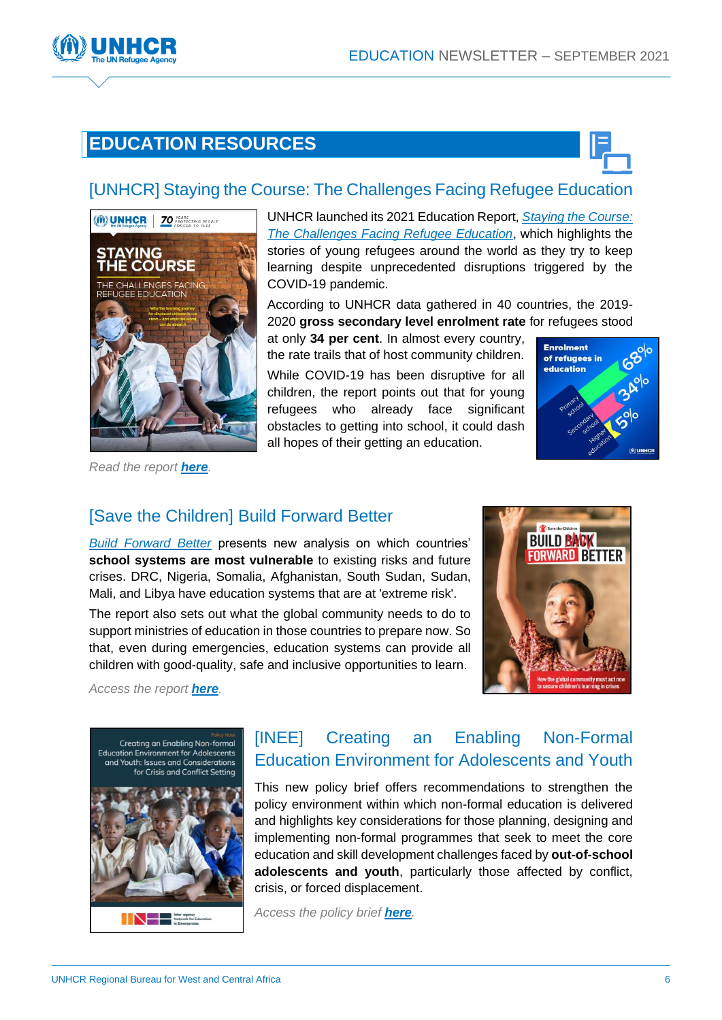

# **EDUCATION RESOURCES**



### [\[UNHCR\] Staying the Course: The Challenges Facing Refugee Education](https://www.unhcr.org/publications/education/612f85d64/unhcr-education-report-2021-staying-course-challenges-facing-refugee-education.html)



UNHCR launched its 2021 Education Report, *[Staying the](https://www.unhcr.org/publications/education/612f85d64/unhcr-education-report-2021-staying-course-challenges-facing-refugee-education.html) Course: [The Challenges Facing Refugee Education](https://www.unhcr.org/publications/education/612f85d64/unhcr-education-report-2021-staying-course-challenges-facing-refugee-education.html)*, which highlights the stories of young refugees around the world as they try to keep learning despite unprecedented disruptions triggered by the COVID-19 pandemic.

According to UNHCR data gathered in 40 countries, the 2019- 2020 **gross secondary level enrolment rate** for refugees stood

at only **34 per cent**. In almost every country, the rate trails that of host community children. While COVID-19 has been disruptive for all children, the report points out that for young refugees who already face significant obstacles to getting into school, it could dash all hopes of their getting an education.



*Read the report [here](https://www.unhcr.org/publications/education/612f85d64/unhcr-education-report-2021-staying-course-challenges-facing-refugee-education.html).*

### [\[Save the Children\] Build Forward Better](https://resourcecentre.savethechildren.net/node/19526/pdf/build-forward-better.pdf)

*[Build Forward Better](https://resourcecentre.savethechildren.net/node/19526/pdf/build-forward-better.pdf)* presents new analysis on which countries' **school systems are most vulnerable** to existing risks and future crises. DRC, Nigeria, Somalia, Afghanistan, South Sudan, Sudan, Mali, and Libya have education systems that are at 'extreme risk'.

The report also sets out what the global community needs to do to support ministries of education in those countries to prepare now. So that, even during emergencies, education systems can provide all children with good-quality, safe and inclusive opportunities to learn.



*Access the report [here](https://resourcecentre.savethechildren.net/node/19526/pdf/build-forward-better.pdf).*



# [\[INEE\] Creating an Enabling Non-Formal](https://inee.org/resources/creating-enabling-non-formal-education-environment-adolescents-and-youth?utm_source=INEE+email+lists&utm_campaign=ff5036f240-EMAIL_CAMPAIGN_2019_10_08_10_35_COPY_01&utm_medium=email&utm_term=0_710662b6ab-ff5036f240-25794544)  [Education Environment for Adolescents and Youth](https://inee.org/resources/creating-enabling-non-formal-education-environment-adolescents-and-youth?utm_source=INEE+email+lists&utm_campaign=ff5036f240-EMAIL_CAMPAIGN_2019_10_08_10_35_COPY_01&utm_medium=email&utm_term=0_710662b6ab-ff5036f240-25794544)

This new policy brief offers recommendations to strengthen the policy environment within which non-formal education is delivered and highlights key considerations for those planning, designing and implementing non-formal programmes that seek to meet the core education and skill development challenges faced by **out-of-school adolescents and youth**, particularly those affected by conflict, crisis, or forced displacement.

*Access the policy brief [here](https://inee.org/resources/creating-enabling-non-formal-education-environment-adolescents-and-youth?utm_source=INEE+email+lists&utm_campaign=ff5036f240-EMAIL_CAMPAIGN_2019_10_08_10_35_COPY_01&utm_medium=email&utm_term=0_710662b6ab-ff5036f240-25794544).*